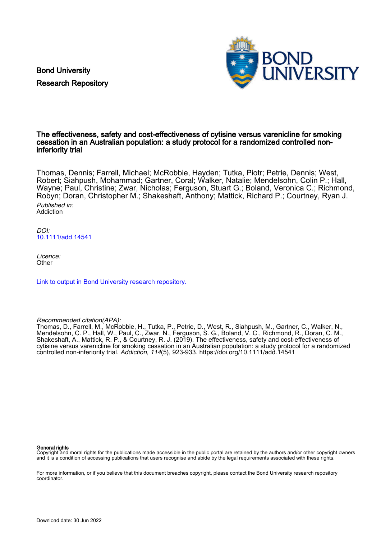Bond University Research Repository



#### The effectiveness, safety and cost-effectiveness of cytisine versus varenicline for smoking cessation in an Australian population: a study protocol for a randomized controlled noninferiority trial

Thomas, Dennis; Farrell, Michael; McRobbie, Hayden; Tutka, Piotr; Petrie, Dennis; West, Robert; Siahpush, Mohammad; Gartner, Coral; Walker, Natalie; Mendelsohn, Colin P.; Hall, Wayne; Paul, Christine; Zwar, Nicholas; Ferguson, Stuart G.; Boland, Veronica C.; Richmond, Robyn; Doran, Christopher M.; Shakeshaft, Anthony; Mattick, Richard P.; Courtney, Ryan J. Published in: Addiction

DOI: [10.1111/add.14541](https://doi.org/10.1111/add.14541)

Licence: **Other** 

[Link to output in Bond University research repository.](https://research.bond.edu.au/en/publications/50c308cf-8f8a-4ad8-827d-12f5db1b91f4)

Recommended citation(APA):

Thomas, D., Farrell, M., McRobbie, H., Tutka, P., Petrie, D., West, R., Siahpush, M., Gartner, C., Walker, N., Mendelsohn, C. P., Hall, W., Paul, C., Zwar, N., Ferguson, S. G., Boland, V. C., Richmond, R., Doran, C. M., Shakeshaft, A., Mattick, R. P., & Courtney, R. J. (2019). The effectiveness, safety and cost-effectiveness of cytisine versus varenicline for smoking cessation in an Australian population: a study protocol for a randomized controlled non-inferiority trial. Addiction, 114(5), 923-933.<https://doi.org/10.1111/add.14541>

#### General rights

Copyright and moral rights for the publications made accessible in the public portal are retained by the authors and/or other copyright owners and it is a condition of accessing publications that users recognise and abide by the legal requirements associated with these rights.

For more information, or if you believe that this document breaches copyright, please contact the Bond University research repository coordinator.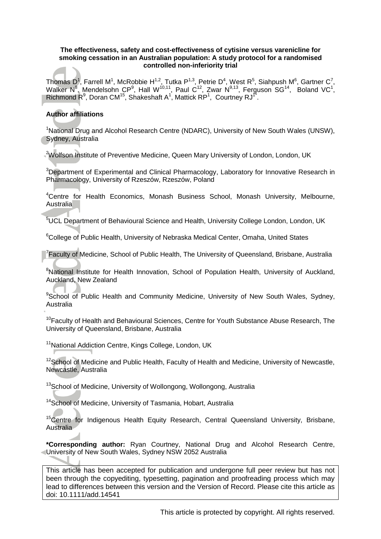#### **The effectiveness, safety and cost-effectiveness of cytisine versus varenicline for smoking cessation in an Australian population: A study protocol for a randomised controlled non-inferiority trial**

Thomas D<sup>1</sup>, Farrell M<sup>1</sup>, McRobbie H<sup>1,2</sup>, Tutka P<sup>1,3</sup>, Petrie D<sup>4</sup>, West R<sup>5</sup>, Siahpush M<sup>6</sup>, Gartner C<sup>7</sup>, Walker N<sup>8</sup>, Mendelsohn CP<sup>9</sup>, Hall W<sup>10,11</sup>, Paul C<sup>12</sup>, Zwar N<sup>9,13</sup>, Ferguson SG<sup>14</sup>, Boland VC<sup>1</sup>, Richmond  $R^9$ , Doran CM<sup>15</sup>, Shakeshaft A<sup>1</sup>, Mattick RP<sup>1</sup>, Courtney RJ<sup>1\*</sup>.

### **Author affiliations**

<sup>1</sup>National Drug and Alcohol Research Centre (NDARC), University of New South Wales (UNSW), Sydney, Australia

<sup>2</sup>Wolfson Institute of Preventive Medicine, Queen Mary University of London, London, UK

<sup>3</sup>Department of Experimental and Clinical Pharmacology, Laboratory for Innovative Research in Pharmacology, University of Rzeszów, Rzeszów, Poland

<sup>4</sup>Centre for Health Economics, Monash Business School, Monash University, Melbourne, **Australia** 

<sup>5</sup>UCL Department of Behavioural Science and Health, University College London, London, UK

<sup>6</sup>College of Public Health, University of Nebraska Medical Center, Omaha, United States

<sup>7</sup> Faculty of Medicine, School of Public Health, The University of Queensland, Brisbane, Australia

<sup>8</sup>National Institute for Health Innovation, School of Population Health, University of Auckland, Auckland, New Zealand

<sup>9</sup>School of Public Health and Community Medicine, University of New South Wales, Sydney, Australia

<sup>10</sup>Faculty of Health and Behavioural Sciences, Centre for Youth Substance Abuse Research, The University of Queensland, Brisbane, Australia

<sup>11</sup>National Addiction Centre, Kings College, London, UK

 $12$ School of Medicine and Public Health, Faculty of Health and Medicine, University of Newcastle, Newcastle, Australia

<sup>13</sup>School of Medicine, University of Wollongong, Wollongong, Australia

<sup>14</sup>School of Medicine, University of Tasmania, Hobart, Australia

<sup>15</sup>Centre for Indigenous Health Equity Research, Central Queensland University, Brisbane, Australia

**\*Corresponding author:** Ryan Courtney, National Drug and Alcohol Research Centre, University of New South Wales, Sydney NSW 2052 Australia

This article has been accepted for publication and undergone full peer review but has not been through the copyediting, typesetting, pagination and proofreading process which may lead to differences between this version and the Version of Record. Please cite this article as doi: 10.1111/add.14541

This article is protected by copyright. All rights reserved.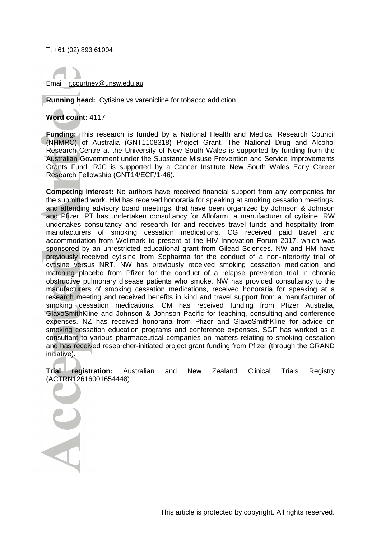#### T: +61 (02) 893 61004



**Running head:** Cytisine vs varenicline for tobacco addiction

#### **Word count:** 4117

**Funding:** This research is funded by a National Health and Medical Research Council (NHMRC) of Australia (GNT1108318) Project Grant. The National Drug and Alcohol Research Centre at the University of New South Wales is supported by funding from the Australian Government under the Substance Misuse Prevention and Service Improvements Grants Fund. RJC is supported by a Cancer Institute New South Wales Early Career Research Fellowship (GNT14/ECF/1-46).

**Competing interest:** No authors have received financial support from any companies for the submitted work. HM has received honoraria for speaking at smoking cessation meetings, and attending advisory board meetings, that have been organized by Johnson & Johnson and Pfizer. PT has undertaken consultancy for Aflofarm, a manufacturer of cytisine. RW undertakes consultancy and research for and receives travel funds and hospitality from manufacturers of smoking cessation medications. CG received paid travel and accommodation from Wellmark to present at the HIV Innovation Forum 2017, which was sponsored by an unrestricted educational grant from Gilead Sciences. NW and HM have previously received cytisine from Sopharma for the conduct of a non-inferiority trial of cytisine versus NRT. NW has previously received smoking cessation medication and matching placebo from Pfizer for the conduct of a relapse prevention trial in chronic obstructive pulmonary disease patients who smoke. NW has provided consultancy to the manufacturers of smoking cessation medications, received honoraria for speaking at a research meeting and received benefits in kind and travel support from a manufacturer of smoking cessation medications. CM has received funding from Pfizer Australia, GlaxoSmithKline and Johnson & Johnson Pacific for teaching, consulting and conference expenses. NZ has received honoraria from Pfizer and GlaxoSmithKline for advice on smoking cessation education programs and conference expenses. SGF has worked as a consultant to various pharmaceutical companies on matters relating to smoking cessation and has received researcher-initiated project grant funding from Pfizer (through the GRAND initiative).

**Trial registration:** Australian and New Zealand Clinical Trials Registry (ACTRN12616001654448).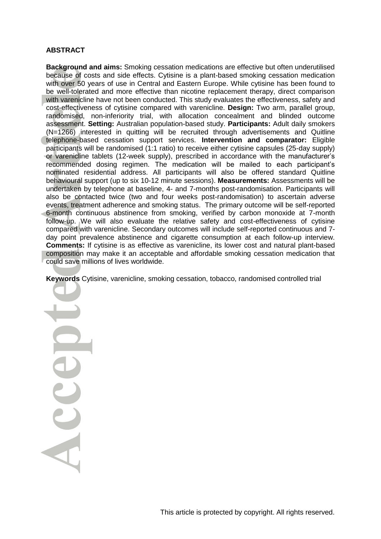### **ABSTRACT**

**Background and aims:** Smoking cessation medications are effective but often underutilised because of costs and side effects. Cytisine is a plant-based smoking cessation medication with over 50 years of use in Central and Eastern Europe. While cytisine has been found to be well-tolerated and more effective than nicotine replacement therapy, direct comparison with varenicline have not been conducted. This study evaluates the effectiveness, safety and cost-effectiveness of cytisine compared with varenicline. **Design:** Two arm, parallel group, randomised, non-inferiority trial, with allocation concealment and blinded outcome assessment. **Setting:** Australian population-based study. **Participants:** Adult daily smokers (N=1266) interested in quitting will be recruited through advertisements and Quitline telephone-based cessation support services. **Intervention and comparator:** Eligible participants will be randomised (1:1 ratio) to receive either cytisine capsules (25-day supply) or varenicline tablets (12-week supply), prescribed in accordance with the manufacturer's recommended dosing regimen. The medication will be mailed to each participant's nominated residential address. All participants will also be offered standard Quitline behavioural support (up to six 10-12 minute sessions). **Measurements:** Assessments will be undertaken by telephone at baseline, 4- and 7-months post-randomisation. Participants will also be contacted twice (two and four weeks post-randomisation) to ascertain adverse events, treatment adherence and smoking status. The primary outcome will be self-reported 6-month continuous abstinence from smoking, verified by carbon monoxide at 7-month follow-up. We will also evaluate the relative safety and cost-effectiveness of cytisine compared with varenicline. Secondary outcomes will include self-reported continuous and 7 day point prevalence abstinence and cigarette consumption at each follow-up interview. **Comments:** If cytisine is as effective as varenicline, its lower cost and natural plant-based composition may make it an acceptable and affordable smoking cessation medication that could save millions of lives worldwide.

**Keywords** Cytisine, varenicline, smoking cessation, tobacco, randomised controlled trial

ACCC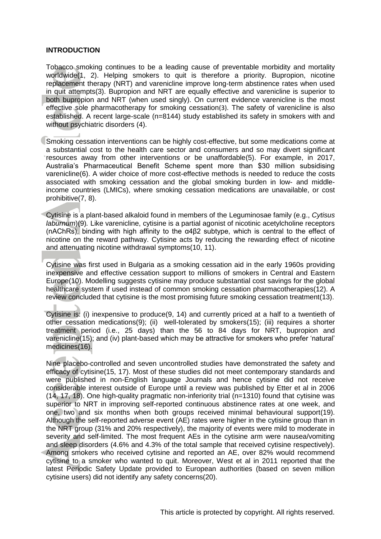#### **INTRODUCTION**

Tobacco smoking continues to be a leading cause of preventable morbidity and mortality worldwide(1, 2). Helping smokers to quit is therefore a priority. Bupropion, nicotine replacement therapy (NRT) and varenicline improve long-term abstinence rates when used in quit attempts(3). Bupropion and NRT are equally effective and varenicline is superior to both bupropion and NRT (when used singly). On current evidence varenicline is the most effective sole pharmacotherapy for smoking cessation(3). The safety of varenicline is also established. A recent large-scale (n=8144) study established its safety in smokers with and without psychiatric disorders (4).

Smoking cessation interventions can be highly cost-effective, but some medications come at a substantial cost to the health care sector and consumers and so may divert significant resources away from other interventions or be unaffordable(5). For example, in 2017, Australia's Pharmaceutical Benefit Scheme spent more than \$30 million subsidising varenicline(6). A wider choice of more cost-effective methods is needed to reduce the costs associated with smoking cessation and the global smoking burden in low- and middleincome countries (LMICs), where smoking cessation medications are unavailable, or cost prohibitive(7, 8).

Cytisine is a plant-based alkaloid found in members of the Leguminosae family (e.g., *Cytisus laburnum*)(9)*.* Like varenicline, cytisine is a partial agonist of nicotinic acetylcholine receptors (nAChRs), binding with high affinity to the α4β2 subtype, which is central to the effect of nicotine on the reward pathway. Cytisine acts by reducing the rewarding effect of nicotine and attenuating nicotine withdrawal symptoms(10, 11).

Cytisine was first used in Bulgaria as a smoking cessation aid in the early 1960s providing inexpensive and effective cessation support to millions of smokers in Central and Eastern Europe(10). Modelling suggests cytisine may produce substantial cost savings for the global healthcare system if used instead of common smoking cessation pharmacotherapies(12). A review concluded that cytisine is the most promising future smoking cessation treatment(13).

Cytisine is: (i) inexpensive to produce(9, 14) and currently priced at a half to a twentieth of other cessation medications(9); (ii) well-tolerated by smokers(15); (iii) requires a shorter treatment period (i.e., 25 days) than the 56 to 84 days for NRT, bupropion and varenicline(15); and (iv) plant-based which may be attractive for smokers who prefer 'natural' medicines(16).

Nine placebo-controlled and seven uncontrolled studies have demonstrated the safety and efficacy of cytisine(15, 17). Most of these studies did not meet contemporary standards and were published in non-English language Journals and hence cytisine did not receive considerable interest outside of Europe until a review was published by Etter et al in 2006 (14, 17, 18). One high-quality pragmatic non-inferiority trial (n=1310) found that cytisine was superior to NRT in improving self-reported continuous abstinence rates at one week, and one, two and six months when both groups received minimal behavioural support(19). Although the self-reported adverse event (AE) rates were higher in the cytisine group than in the NRT group (31% and 20% respectively), the majority of events were mild to moderate in severity and self-limited. The most frequent AEs in the cytisine arm were nausea/vomiting and sleep disorders (4.6% and 4.3% of the total sample that received cytisine respectively). Among smokers who received cytisine and reported an AE, over 82% would recommend cytisine to a smoker who wanted to quit. Moreover, West et al in 2011 reported that the latest Periodic Safety Update provided to European authorities (based on seven million cytisine users) did not identify any safety concerns(20).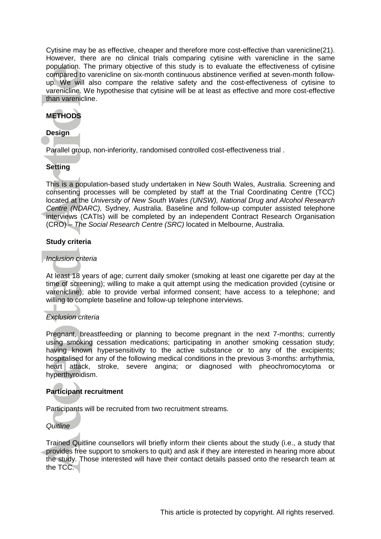Cytisine may be as effective, cheaper and therefore more cost-effective than varenicline(21). However, there are no clinical trials comparing cytisine with varenicline in the same population. The primary objective of this study is to evaluate the effectiveness of cytisine compared to varenicline on six-month continuous abstinence verified at seven-month followup. We will also compare the relative safety and the cost-effectiveness of cytisine to varenicline. We hypothesise that cytisine will be at least as effective and more cost-effective than varenicline.

## **METHODS**

### **Design**

Parallel group, non-inferiority, randomised controlled cost-effectiveness trial.

### **Setting**

This is a population-based study undertaken in New South Wales, Australia. Screening and consenting processes will be completed by staff at the Trial Coordinating Centre (TCC) located at the *University of New South Wales (UNSW), National Drug and Alcohol Research Centre (NDARC),* Sydney, Australia. Baseline and follow-up computer assisted telephone interviews (CATIs) will be completed by an independent Contract Research Organisation (CRO) – *The Social Research Centre (SRC)* located in Melbourne, Australia.

#### **Study criteria**

#### *Inclusion criteria*

At least 18 years of age; current daily smoker (smoking at least one cigarette per day at the time of screening); willing to make a quit attempt using the medication provided (cytisine or varenicline); able to provide verbal informed consent; have access to a telephone; and willing to complete baseline and follow-up telephone interviews.

#### *Exclusion criteria*

Pregnant, breastfeeding or planning to become pregnant in the next 7-months; currently using smoking cessation medications; participating in another smoking cessation study; having known hypersensitivity to the active substance or to any of the excipients; hospitalised for any of the following medical conditions in the previous 3-months: arrhythmia, heart attack, stroke, severe angina; or diagnosed with pheochromocytoma or hyperthyroidism.

#### **Participant recruitment**

Participants will be recruited from two recruitment streams.

#### *Quitline*

Trained Quitline counsellors will briefly inform their clients about the study (i.e., a study that provides free support to smokers to quit) and ask if they are interested in hearing more about the study. Those interested will have their contact details passed onto the research team at the TCC.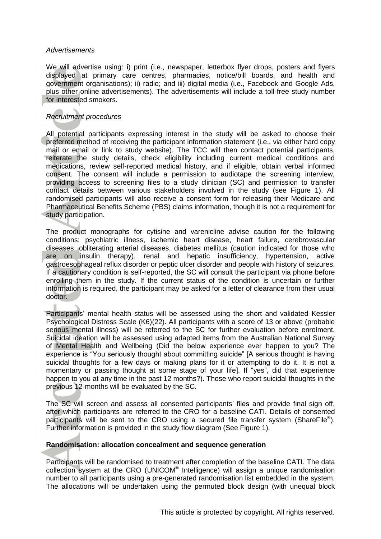#### *Advertisements*

We will advertise using: i) print (i.e., newspaper, letterbox flyer drops, posters and flyers displayed at primary care centres, pharmacies, notice/bill boards, and health and government organisations); ii) radio; and iii) digital media (i.e., Facebook and Google Ads, plus other online advertisements). The advertisements will include a toll-free study number for interested smokers.

### *Recruitment procedures*

All potential participants expressing interest in the study will be asked to choose their preferred method of receiving the participant information statement (i.e., via either hard copy mail or email or link to study website). The TCC will then contact potential participants, reiterate the study details, check eligibility including current medical conditions and medications, review self-reported medical history, and if eligible, obtain verbal informed consent. The consent will include a permission to audiotape the screening interview, providing access to screening files to a study clinician (SC) and permission to transfer contact details between various stakeholders involved in the study (see Figure 1). All randomised participants will also receive a consent form for releasing their Medicare and Pharmaceutical Benefits Scheme (PBS) claims information, though it is not a requirement for study participation.

The product monographs for cytisine and varenicline advise caution for the following conditions: psychiatric illness, ischemic heart disease, heart failure, cerebrovascular diseases, obliterating arterial diseases, diabetes mellitus (caution indicated for those who are on insulin therapy), renal and hepatic insufficiency, hypertension, active gastroesophageal reflux disorder or peptic ulcer disorder and people with history of seizures. If a cautionary condition is self-reported, the SC will consult the participant via phone before enrolling them in the study. If the current status of the condition is uncertain or further information is required, the participant may be asked for a letter of clearance from their usual doctor.

Participants' mental health status will be assessed using the short and validated Kessler Psychological Distress Scale (K6)(22). All participants with a score of 13 or above (probable serious mental illness) will be referred to the SC for further evaluation before enrolment. Suicidal ideation will be assessed using adapted items from the Australian National Survey of Mental Health and Wellbeing (Did the below experience ever happen to you? The experience is "You seriously thought about committing suicide" [A serious thought is having suicidal thoughts for a few days or making plans for it or attempting to do it. It is not a momentary or passing thought at some stage of your life]. If "yes", did that experience happen to you at any time in the past 12 months?). Those who report suicidal thoughts in the previous 12-months will be evaluated by the SC.

The SC will screen and assess all consented participants' files and provide final sign off, after which participants are referred to the CRO for a baseline CATI. Details of consented participants will be sent to the CRO using a secured file transfer system (ShareFile®). Further information is provided in the study flow diagram (See Figure 1).

#### **Randomisation: allocation concealment and sequence generation**

Participants will be randomised to treatment after completion of the baseline CATI. The data collection system at the CRO (UNICOM® Intelligence) will assign a unique randomisation number to all participants using a pre-generated randomisation list embedded in the system. The allocations will be undertaken using the permuted block design (with unequal block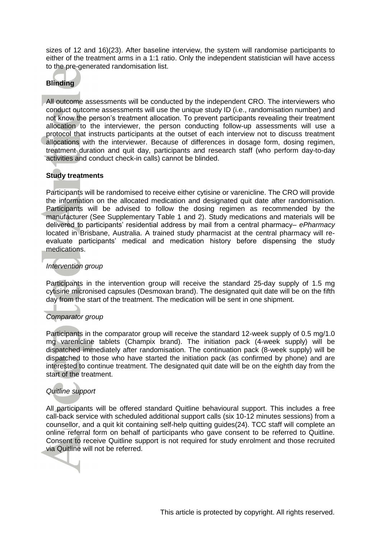sizes of 12 and 16)(23). After baseline interview, the system will randomise participants to either of the treatment arms in a 1:1 ratio. Only the independent statistician will have access to the pre-generated randomisation list.

### **Blinding**

All outcome assessments will be conducted by the independent CRO. The interviewers who conduct outcome assessments will use the unique study ID (i.e., randomisation number) and not know the person's treatment allocation. To prevent participants revealing their treatment allocation to the interviewer, the person conducting follow-up assessments will use a protocol that instructs participants at the outset of each interview not to discuss treatment allocations with the interviewer. Because of differences in dosage form, dosing regimen, treatment duration and quit day, participants and research staff (who perform day-to-day activities and conduct check-in calls) cannot be blinded.

### **Study treatments**

Participants will be randomised to receive either cytisine or varenicline. The CRO will provide the information on the allocated medication and designated quit date after randomisation. Participants will be advised to follow the dosing regimen as recommended by the manufacturer (See Supplementary Table 1 and 2). Study medications and materials will be delivered to participants' residential address by mail from a central pharmacy– *ePharmacy* located in Brisbane, Australia. A trained study pharmacist at the central pharmacy will reevaluate participants' medical and medication history before dispensing the study medications.

### *Intervention group*

Participants in the intervention group will receive the standard 25-day supply of 1.5 mg cytisine micronised capsules (Desmoxan brand). The designated quit date will be on the fifth day from the start of the treatment. The medication will be sent in one shipment.

### *Comparator group*

Participants in the comparator group will receive the standard 12-week supply of 0.5 mg/1.0 mg varenicline tablets (Champix brand). The initiation pack (4-week supply) will be dispatched immediately after randomisation. The continuation pack (8-week supply) will be dispatched to those who have started the initiation pack (as confirmed by phone) and are interested to continue treatment. The designated quit date will be on the eighth day from the start of the treatment.

### *Quitline support*

All participants will be offered standard Quitline behavioural support. This includes a free call-back service with scheduled additional support calls (six 10-12 minutes sessions) from a counsellor, and a quit kit containing self-help quitting guides(24). TCC staff will complete an online referral form on behalf of participants who gave consent to be referred to Quitline. Consent to receive Quitline support is not required for study enrolment and those recruited via Quitline will not be referred.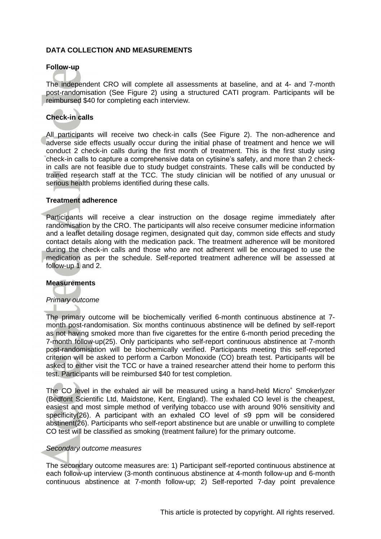### **DATA COLLECTION AND MEASUREMENTS**

#### **Follow-up**

The independent CRO will complete all assessments at baseline, and at 4- and 7-month post-randomisation (See Figure 2) using a structured CATI program. Participants will be reimbursed \$40 for completing each interview.

### **Check-in calls**

All participants will receive two check-in calls (See Figure 2). The non-adherence and adverse side effects usually occur during the initial phase of treatment and hence we will conduct 2 check-in calls during the first month of treatment. This is the first study using check-in calls to capture a comprehensive data on cytisine's safety, and more than 2 checkin calls are not feasible due to study budget constraints. These calls will be conducted by trained research staff at the TCC. The study clinician will be notified of any unusual or serious health problems identified during these calls.

#### **Treatment adherence**

Participants will receive a clear instruction on the dosage regime immediately after randomisation by the CRO. The participants will also receive consumer medicine information and a leaflet detailing dosage regimen, designated quit day, common side effects and study contact details along with the medication pack. The treatment adherence will be monitored during the check-in calls and those who are not adherent will be encouraged to use the medication as per the schedule. Self-reported treatment adherence will be assessed at follow-up 1 and 2.

#### **Measurements**

#### *Primary outcome*

The primary outcome will be biochemically verified 6-month continuous abstinence at 7 month post-randomisation. Six months continuous abstinence will be defined by self-report as not having smoked more than five cigarettes for the entire 6-month period preceding the 7-month follow-up(25). Only participants who self-report continuous abstinence at 7-month post-randomisation will be biochemically verified. Participants meeting this self-reported criterion will be asked to perform a Carbon Monoxide (CO) breath test. Participants will be asked to either visit the TCC or have a trained researcher attend their home to perform this test. Participants will be reimbursed \$40 for test completion.

The CO level in the exhaled air will be measured using a hand-held Micro<sup>+</sup> Smokerlyzer (Bedfont Scientific Ltd, Maidstone, Kent, England). The exhaled CO level is the cheapest, easiest and most simple method of verifying tobacco use with around 90% sensitivity and specificity(26). A participant with an exhaled CO level of ≤9 ppm will be considered abstinent(26). Participants who self-report abstinence but are unable or unwilling to complete CO test will be classified as smoking (treatment failure) for the primary outcome.

#### *Secondary outcome measures*

The secondary outcome measures are: 1) Participant self-reported continuous abstinence at each follow-up interview (3-month continuous abstinence at 4-month follow-up and 6-month continuous abstinence at 7-month follow-up; 2) Self-reported 7-day point prevalence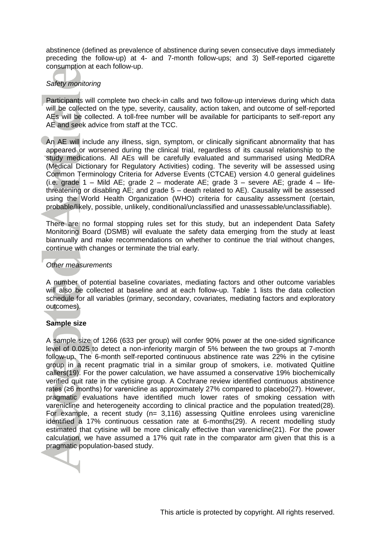abstinence (defined as prevalence of abstinence during seven consecutive days immediately preceding the follow-up) at 4- and 7-month follow-ups; and 3) Self-reported cigarette consumption at each follow-up.

### *Safety monitoring*

Participants will complete two check-in calls and two follow-up interviews during which data will be collected on the type, severity, causality, action taken, and outcome of self-reported AEs will be collected. A toll-free number will be available for participants to self-report any AE and seek advice from staff at the TCC.

An AE will include any illness, sign, symptom, or clinically significant abnormality that has appeared or worsened during the clinical trial, regardless of its causal relationship to the study medications. All AEs will be carefully evaluated and summarised using MedDRA (Medical Dictionary for Regulatory Activities) coding. The severity will be assessed using Common Terminology Criteria for Adverse Events (CTCAE) version 4.0 general guidelines (i.e. grade 1 – Mild AE; grade 2 – moderate AE; grade 3 – severe AE; grade 4 – lifethreatening or disabling AE; and grade 5 – death related to AE). Causality will be assessed using the World Health Organization (WHO) criteria for causality assessment (certain, probable/likely, possible, unlikely, conditional/unclassified and unassessable/unclassifiable).

There are no formal stopping rules set for this study, but an independent Data Safety Monitoring Board (DSMB) will evaluate the safety data emerging from the study at least biannually and make recommendations on whether to continue the trial without changes, continue with changes or terminate the trial early.

### *Other measurements*

A number of potential baseline covariates, mediating factors and other outcome variables will also be collected at baseline and at each follow-up. Table 1 lists the data collection schedule for all variables (primary, secondary, covariates, mediating factors and exploratory outcomes).

#### **Sample size**

A sample size of 1266 (633 per group) will confer 90% power at the one-sided significance level of 0.025 to detect a non-inferiority margin of 5% between the two groups at 7-month follow-up. The 6-month self-reported continuous abstinence rate was 22% in the cytisine group in a recent pragmatic trial in a similar group of smokers, i.e. motivated Quitline callers(19). For the power calculation, we have assumed a conservative 19% biochemically verified quit rate in the cytisine group. A Cochrane review identified continuous abstinence rates (≥6 months) for varenicline as approximately 27% compared to placebo(27). However, pragmatic evaluations have identified much lower rates of smoking cessation with varenicline and heterogeneity according to clinical practice and the population treated(28). For example, a recent study ( $n= 3,116$ ) assessing Quitline enrolees using varenicline identified a 17% continuous cessation rate at 6-months(29). A recent modelling study estimated that cytisine will be more clinically effective than varenicline(21). For the power calculation, we have assumed a 17% quit rate in the comparator arm given that this is a pragmatic population-based study.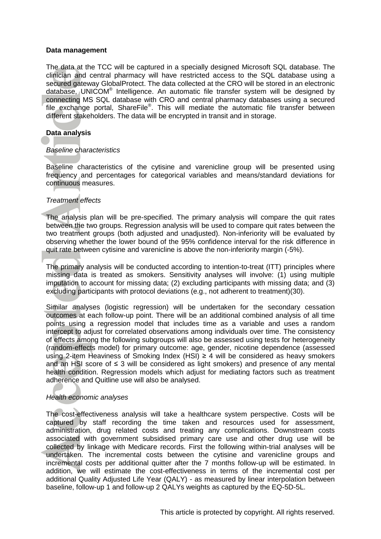#### **Data management**

The data at the TCC will be captured in a specially designed Microsoft SQL database. The clinician and central pharmacy will have restricted access to the SQL database using a secured gateway GlobalProtect. The data collected at the CRO will be stored in an electronic database, UNICOM® Intelligence. An automatic file transfer system will be designed by connecting MS SQL database with CRO and central pharmacy databases using a secured file exchange portal, ShareFile®. This will mediate the automatic file transfer between different stakeholders. The data will be encrypted in transit and in storage.

### **Data analysis**

#### *Baseline characteristics*

Baseline characteristics of the cytisine and varenicline group will be presented using frequency and percentages for categorical variables and means/standard deviations for continuous measures.

#### *Treatment effects*

The analysis plan will be pre-specified. The primary analysis will compare the quit rates between the two groups. Regression analysis will be used to compare quit rates between the two treatment groups (both adjusted and unadjusted). Non-inferiority will be evaluated by observing whether the lower bound of the 95% confidence interval for the risk difference in quit rate between cytisine and varenicline is above the non-inferiority margin (-5%).

The primary analysis will be conducted according to intention-to-treat (ITT) principles where missing data is treated as smokers. Sensitivity analyses will involve: (1) using multiple imputation to account for missing data; (2) excluding participants with missing data; and (3) excluding participants with protocol deviations (e.g., not adherent to treatment)(30).

Similar analyses (logistic regression) will be undertaken for the secondary cessation outcomes at each follow-up point. There will be an additional combined analysis of all time points using a regression model that includes time as a variable and uses a random intercept to adjust for correlated observations among individuals over time. The consistency of effects among the following subgroups will also be assessed using tests for heterogeneity (random-effects model) for primary outcome: age, gender, nicotine dependence (assessed using 2-item Heaviness of Smoking Index (HSI)  $\geq$  4 will be considered as heavy smokers and an HSI score of  $\leq$  3 will be considered as light smokers) and presence of any mental health condition. Regression models which adjust for mediating factors such as treatment adherence and Quitline use will also be analysed.

#### *Health economic analyses*

The cost-effectiveness analysis will take a healthcare system perspective. Costs will be captured by staff recording the time taken and resources used for assessment, administration, drug related costs and treating any complications. Downstream costs associated with government subsidised primary care use and other drug use will be collected by linkage with Medicare records. First the following within-trial analyses will be undertaken. The incremental costs between the cytisine and varenicline groups and incremental costs per additional quitter after the 7 months follow-up will be estimated. In addition, we will estimate the cost-effectiveness in terms of the incremental cost per additional Quality Adjusted Life Year (QALY) - as measured by linear interpolation between baseline, follow-up 1 and follow-up 2 QALYs weights as captured by the EQ-5D-5L.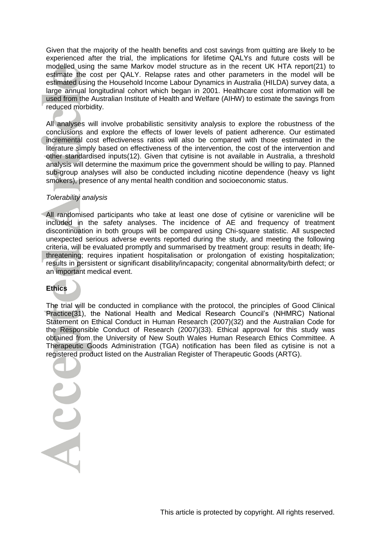Given that the majority of the health benefits and cost savings from quitting are likely to be experienced after the trial, the implications for lifetime QALYs and future costs will be modelled using the same Markov model structure as in the recent UK HTA report(21) to estimate the cost per QALY. Relapse rates and other parameters in the model will be estimated using the Household Income Labour Dynamics in Australia (HILDA) survey data, a large annual longitudinal cohort which began in 2001. Healthcare cost information will be used from the Australian Institute of Health and Welfare (AIHW) to estimate the savings from reduced morbidity.

All analyses will involve probabilistic sensitivity analysis to explore the robustness of the conclusions and explore the effects of lower levels of patient adherence. Our estimated incremental cost effectiveness ratios will also be compared with those estimated in the literature simply based on effectiveness of the intervention, the cost of the intervention and other standardised inputs(12). Given that cytisine is not available in Australia, a threshold analysis will determine the maximum price the government should be willing to pay. Planned sub-group analyses will also be conducted including nicotine dependence (heavy vs light smokers), presence of any mental health condition and socioeconomic status.

#### *Tolerability analysis*

All randomised participants who take at least one dose of cytisine or varenicline will be included in the safety analyses. The incidence of AE and frequency of treatment discontinuation in both groups will be compared using Chi-square statistic. All suspected unexpected serious adverse events reported during the study, and meeting the following criteria, will be evaluated promptly and summarised by treatment group: results in death; lifethreatening; requires inpatient hospitalisation or prolongation of existing hospitalization; results in persistent or significant disability/incapacity; congenital abnormality/birth defect; or an important medical event.

### **Ethics**

The trial will be conducted in compliance with the protocol, the principles of Good Clinical Practice(31), the National Health and Medical Research Council's (NHMRC) National Statement on Ethical Conduct in Human Research (2007)(32) and the Australian Code for the Responsible Conduct of Research (2007)(33). Ethical approval for this study was obtained from the University of New South Wales Human Research Ethics Committee. A Therapeutic Goods Administration (TGA) notification has been filed as cytisine is not a registered product listed on the Australian Register of Therapeutic Goods (ARTG).

ACC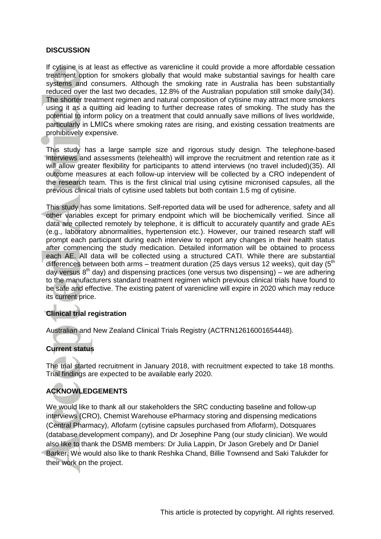#### **DISCUSSION**

If cytisine is at least as effective as varenicline it could provide a more affordable cessation treatment option for smokers globally that would make substantial savings for health care systems and consumers. Although the smoking rate in Australia has been substantially reduced over the last two decades, 12.8% of the Australian population still smoke daily(34). The shorter treatment regimen and natural composition of cytisine may attract more smokers using it as a quitting aid leading to further decrease rates of smoking. The study has the potential to inform policy on a treatment that could annually save millions of lives worldwide, particularly in LMICs where smoking rates are rising, and existing cessation treatments are prohibitively expensive.

This study has a large sample size and rigorous study design. The telephone-based interviews and assessments (telehealth) will improve the recruitment and retention rate as it will allow greater flexibility for participants to attend interviews (no travel included)(35). All outcome measures at each follow-up interview will be collected by a CRO independent of the research team. This is the first clinical trial using cytisine micronised capsules, all the previous clinical trials of cytisine used tablets but both contain 1.5 mg of cytisine.

This study has some limitations. Self-reported data will be used for adherence, safety and all other variables except for primary endpoint which will be biochemically verified. Since all data are collected remotely by telephone, it is difficult to accurately quantify and grade AEs (e.g., laboratory abnormalities, hypertension etc.). However, our trained research staff will prompt each participant during each interview to report any changes in their health status after commencing the study medication. Detailed information will be obtained to process each AE. All data will be collected using a structured CATI. While there are substantial differences between both arms – treatment duration (25 days versus 12 weeks), quit day ( $5<sup>th</sup>$ day versus  $8<sup>th</sup>$  day) and dispensing practices (one versus two dispensing) – we are adhering to the manufacturers standard treatment regimen which previous clinical trials have found to be safe and effective. The existing patent of varenicline will expire in 2020 which may reduce its current price.

#### **Clinical trial registration**

Australian and New Zealand Clinical Trials Registry (ACTRN12616001654448).

#### **Current status**

The trial started recruitment in January 2018, with recruitment expected to take 18 months. Trial findings are expected to be available early 2020.

### **ACKNOWLEDGEMENTS**

We would like to thank all our stakeholders the SRC conducting baseline and follow-up interviews (CRO), Chemist Warehouse ePharmacy storing and dispensing medications (Central Pharmacy), Aflofarm (cytisine capsules purchased from Aflofarm), Dotsquares (database development company), and Dr Josephine Pang (our study clinician). We would also like to thank the DSMB members: Dr Julia Lappin, Dr Jason Grebely and Dr Daniel Barker. We would also like to thank Reshika Chand, Billie Townsend and Saki Talukder for their work on the project.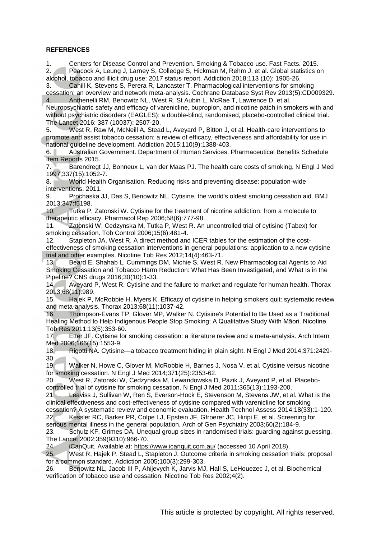#### **REFERENCES**

1. Centers for Disease Control and Prevention. Smoking & Tobacco use. Fast Facts. 2015. 2. Peacock A, Leung J, Larney S, Colledge S, Hickman M, Rehm J, et al. Global statistics on alcohol, tobacco and illicit drug use: 2017 status report. Addiction 2018;113 (10): 1905-26.

3. Cahill K, Stevens S, Perera R, Lancaster T. Pharmacological interventions for smoking cessation: an overview and network meta-analysis. Cochrane Database Syst Rev 2013(5):CD009329. 4. Anthenelli RM, Benowitz NL, West R, St Aubin L, McRae T, Lawrence D, et al.

Neuropsychiatric safety and efficacy of varenicline, bupropion, and nicotine patch in smokers with and without psychiatric disorders (EAGLES): a double-blind, randomised, placebo-controlled clinical trial. The Lancet 2016: 387 (10037): 2507-20.

5. West R, Raw M, McNeill A, Stead L, Aveyard P, Bitton J, et al. Health-care interventions to promote and assist tobacco cessation: a review of efficacy, effectiveness and affordability for use in national guideline development. Addiction 2015;110(9):1388-403.

6. Australian Government. Department of Human Services. Pharmaceutical Benefits Schedule Item Reports 2015.

7. Barendregt JJ, Bonneux L, van der Maas PJ. The health care costs of smoking. N Engl J Med 1997;337(15):1052-7.

8. World Health Organisation. Reducing risks and preventing disease: population-wide interventions. 2011.

9. Prochaska JJ, Das S, Benowitz NL. Cytisine, the world's oldest smoking cessation aid. BMJ 2013;347:f5198.

10. Tutka P, Zatonski W. Cytisine for the treatment of nicotine addiction: from a molecule to therapeutic efficacy. Pharmacol Rep 2006;58(6):777-98.

11. Zatonski W, Cedzynska M, Tutka P, West R. An uncontrolled trial of cytisine (Tabex) for smoking cessation. Tob Control 2006;15(6):481-4.

12. Stapleton JA, West R. A direct method and ICER tables for the estimation of the costeffectiveness of smoking cessation interventions in general populations: application to a new cytisine trial and other examples. Nicotine Tob Res 2012;14(4):463-71.

13. Beard E, Shahab L, Cummings DM, Michie S, West R. New Pharmacological Agents to Aid Smoking Cessation and Tobacco Harm Reduction: What Has Been Investigated, and What Is in the Pipeline? CNS drugs 2016;30(10):1-33.

14. Aveyard P, West R. Cytisine and the failure to market and regulate for human health. Thorax 2013;68(11):989.

15. Hajek P, McRobbie H, Myers K. Efficacy of cytisine in helping smokers quit: systematic review and meta-analysis. Thorax 2013;68(11):1037-42.

16. Thompson-Evans TP, Glover MP, Walker N. Cytisine's Potential to Be Used as a Traditional Healing Method to Help Indigenous People Stop Smoking: A Qualitative Study With Māori. Nicotine Tob Res 2011;13(5):353-60.

17. Etter JF. Cytisine for smoking cessation: a literature review and a meta-analysis. Arch Intern Med 2006;166(15):1553-9.

18. Rigotti NA. Cytisine—a tobacco treatment hiding in plain sight. N Engl J Med 2014;371:2429- 30.

19. Walker N, Howe C, Glover M, McRobbie H, Barnes J, Nosa V, et al. Cytisine versus nicotine for smoking cessation. N Engl J Med 2014;371(25):2353-62.

20. West R, Zatonski W, Cedzynska M, Lewandowska D, Pazik J, Aveyard P, et al. Placebocontrolled trial of cytisine for smoking cessation. N Engl J Med 2011;365(13):1193-200.

21. Leaviss J, Sullivan W, Ren S, Everson-Hock E, Stevenson M, Stevens JW, et al. What is the clinical effectiveness and cost-effectiveness of cytisine compared with varenicline for smoking cessation? A systematic review and economic evaluation. Health Technol Assess 2014;18(33):1-120.

22. Kessler RC, Barker PR, Colpe LJ, Epstein JF, Gfroerer JC, Hiripi E, et al. Screening for serious mental illness in the general population. Arch of Gen Psychiatry 2003;60(2):184-9.

23. Schulz KF, Grimes DA. Unequal group sizes in randomised trials: guarding against guessing. The Lancet 2002;359(9310):966-70.

24. iCanQuit. Available at:<https://www.icanquit.com.au/> (accessed 10 April 2018).

25. West R, Hajek P, Stead L, Stapleton J. Outcome criteria in smoking cessation trials: proposal for a common standard. Addiction 2005;100(3):299-303.

26. Benowitz NL, Jacob III P, Ahijevych K, Jarvis MJ, Hall S, LeHouezec J, et al. Biochemical verification of tobacco use and cessation. Nicotine Tob Res 2002;4(2).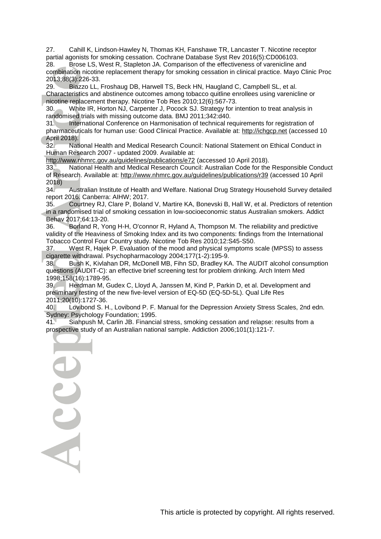27. Cahill K, Lindson-Hawley N, Thomas KH, Fanshawe TR, Lancaster T. Nicotine receptor partial agonists for smoking cessation. Cochrane Database Syst Rev 2016(5):CD006103.

28. Brose LS, West R, Stapleton JA. Comparison of the effectiveness of varenicline and combination nicotine replacement therapy for smoking cessation in clinical practice. Mayo Clinic Proc 2013;88(3):226-33.

29. Biazzo LL, Froshaug DB, Harwell TS, Beck HN, Haugland C, Campbell SL, et al. Characteristics and abstinence outcomes among tobacco quitline enrollees using varenicline or nicotine replacement therapy. Nicotine Tob Res 2010;12(6):567-73.

30. White IR, Horton NJ, Carpenter J, Pocock SJ. Strategy for intention to treat analysis in randomised trials with missing outcome data. BMJ 2011;342:d40.

31. International Conference on Harmonisation of technical requirements for registration of pharmaceuticals for human use: Good Clinical Practice. Available at: [http://ichgcp.net](http://ichgcp.net/) (accessed 10 April 2018).

32. National Health and Medical Research Council: National Statement on Ethical Conduct in Human Research 2007 - updated 2009. Available at:

<http://www.nhmrc.gov.au/guidelines/publications/e72> (accessed 10 April 2018).

33. National Health and Medical Research Council: Australian Code for the Responsible Conduct of Research. Available at:<http://www.nhmrc.gov.au/guidelines/publications/r39> (accessed 10 April 2018)

34. Australian Institute of Health and Welfare. National Drug Strategy Household Survey detailed report 2016. Canberra: AIHW; 2017.

35. Courtney RJ, Clare P, Boland V, Martire KA, Bonevski B, Hall W, et al. Predictors of retention in a randomised trial of smoking cessation in low-socioeconomic status Australian smokers. Addict Behav 2017;64:13-20.

36. Borland R, Yong H-H, O'connor R, Hyland A, Thompson M. The reliability and predictive validity of the Heaviness of Smoking Index and its two components: findings from the International Tobacco Control Four Country study. Nicotine Tob Res 2010;12:S45-S50.

37. West R, Hajek P. Evaluation of the mood and physical symptoms scale (MPSS) to assess cigarette withdrawal. Psychopharmacology 2004;177(1-2):195-9.

38. Bush K, Kivlahan DR, McDonell MB, Fihn SD, Bradley KA. The AUDIT alcohol consumption questions (AUDIT-C): an effective brief screening test for problem drinking. Arch Intern Med 1998;158(16):1789-95.

39. Herdman M, Gudex C, Lloyd A, Janssen M, Kind P, Parkin D, et al. Development and preliminary testing of the new five-level version of EQ-5D (EQ-5D-5L). Qual Life Res 2011;20(10):1727-36.

40. Lovibond S. H., Lovibond P. F. Manual for the Depression Anxiety Stress Scales, 2nd edn. Sydney: Psychology Foundation; 1995.

41. Siahpush M, Carlin JB. Financial stress, smoking cessation and relapse: results from a prospective study of an Australian national sample. Addiction 2006;101(1):121-7.

Acce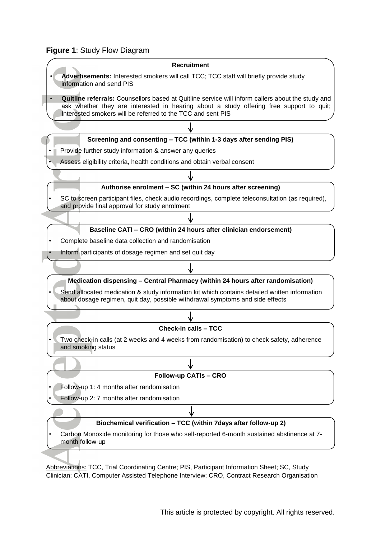### **Figure 1**: Study Flow Diagram



Abbreviations: TCC, Trial Coordinating Centre; PIS, Participant Information Sheet; SC, Study Clinician; CATI, Computer Assisted Telephone Interview; CRO, Contract Research Organisation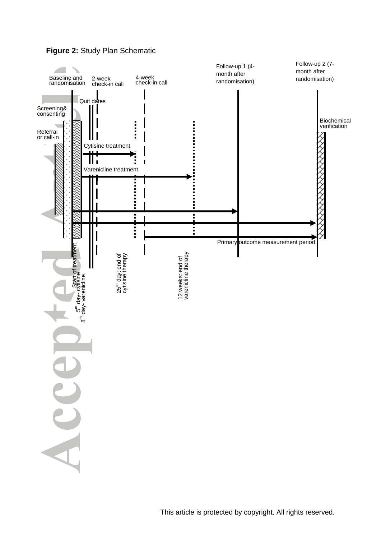

### **Figure 2:** Study Plan Schematic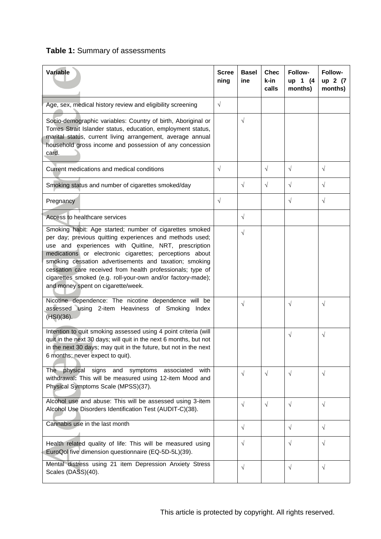# **Table 1:** Summary of assessments

| Variable                                                                                                                                                                                                                                                                                                                                                                                                                                                            | <b>Scree</b><br>ning | <b>Basel</b><br>ine | <b>Chec</b><br>k-in<br>calls | Follow-<br>up 1 (4)<br>months) | Follow-<br>up 2 (7<br>months) |
|---------------------------------------------------------------------------------------------------------------------------------------------------------------------------------------------------------------------------------------------------------------------------------------------------------------------------------------------------------------------------------------------------------------------------------------------------------------------|----------------------|---------------------|------------------------------|--------------------------------|-------------------------------|
| Age, sex, medical history review and eligibility screening                                                                                                                                                                                                                                                                                                                                                                                                          | $\sqrt{}$            |                     |                              |                                |                               |
| Socio-demographic variables: Country of birth, Aboriginal or<br>Torres Strait Islander status, education, employment status,<br>marital status, current living arrangement, average annual<br>household gross income and possession of any concession<br>card.                                                                                                                                                                                                      |                      | $\sqrt{}$           |                              |                                |                               |
| Current medications and medical conditions                                                                                                                                                                                                                                                                                                                                                                                                                          | $\sqrt{}$            |                     | $\sqrt{}$                    | $\sqrt{}$                      | $\sqrt{}$                     |
| Smoking status and number of cigarettes smoked/day                                                                                                                                                                                                                                                                                                                                                                                                                  |                      | $\sqrt{ }$          | $\sqrt{}$                    | $\sqrt{}$                      | $\sqrt{}$                     |
| Pregnancy                                                                                                                                                                                                                                                                                                                                                                                                                                                           | $\sqrt{}$            |                     |                              | $\sqrt{}$                      | $\sqrt{}$                     |
| Access to healthcare services                                                                                                                                                                                                                                                                                                                                                                                                                                       |                      | $\sqrt{ }$          |                              |                                |                               |
| Smoking habit: Age started; number of cigarettes smoked<br>per day; previous quitting experiences and methods used;<br>use and experiences with Quitline, NRT, prescription<br>medications or electronic cigarettes; perceptions about<br>smoking cessation advertisements and taxation; smoking<br>cessation care received from health professionals; type of<br>cigarettes smoked (e.g. roll-your-own and/or factory-made);<br>and money spent on cigarette/week. |                      | $\sqrt{}$           |                              |                                |                               |
| Nicotine dependence: The nicotine dependence will be<br>assessed using 2-item Heaviness of Smoking Index<br>$(HSI)(36)$ .                                                                                                                                                                                                                                                                                                                                           |                      | $\sqrt{ }$          |                              | $\sqrt{}$                      | $\sqrt{}$                     |
| Intention to quit smoking assessed using 4 point criteria (will<br>quit in the next 30 days; will quit in the next 6 months, but not<br>in the next 30 days; may quit in the future, but not in the next<br>6 months; never expect to quit).                                                                                                                                                                                                                        |                      |                     |                              | $\sqrt{}$                      | $\sqrt{}$                     |
| physical<br>signs and symptoms<br>associated<br>with<br><b>The</b><br>withdrawal: This will be measured using 12-item Mood and<br>Physical Symptoms Scale (MPSS)(37).                                                                                                                                                                                                                                                                                               |                      | $\sqrt{ }$          | $\sqrt{}$                    | $\sqrt{ }$                     | $\sqrt{}$                     |
| Alcohol use and abuse: This will be assessed using 3-item<br>Alcohol Use Disorders Identification Test (AUDIT-C)(38).                                                                                                                                                                                                                                                                                                                                               |                      | $\sqrt{ }$          | $\sqrt{}$                    | $\sqrt{ }$                     | $\sqrt{ }$                    |
| Cannabis use in the last month                                                                                                                                                                                                                                                                                                                                                                                                                                      |                      | $\sqrt{ }$          |                              | $\sqrt{ }$                     | $\sqrt{}$                     |
| Health related quality of life: This will be measured using<br>EuroQol five dimension questionnaire (EQ-5D-5L)(39).                                                                                                                                                                                                                                                                                                                                                 |                      | $\sqrt{}$           |                              | $\sqrt{}$                      | $\sqrt{ }$                    |
| Mental distress using 21 item Depression Anxiety Stress<br>Scales (DASS)(40).                                                                                                                                                                                                                                                                                                                                                                                       |                      | $\sqrt{}$           |                              | $\sqrt{ }$                     | $\sqrt{}$                     |